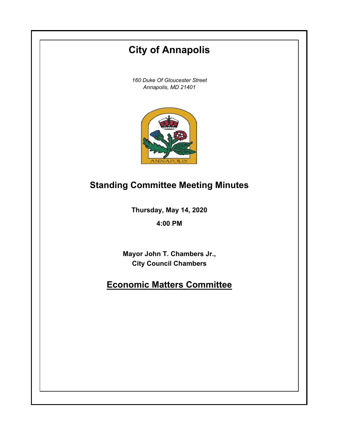# **City of Annapolis**

*160 Duke Of Gloucester Street Annapolis, MD 21401*



## **Standing Committee Meeting Minutes**

**Thursday, May 14, 2020**

**4:00 PM**

**Mayor John T. Chambers Jr., City Council Chambers**

## **Economic Matters Committee**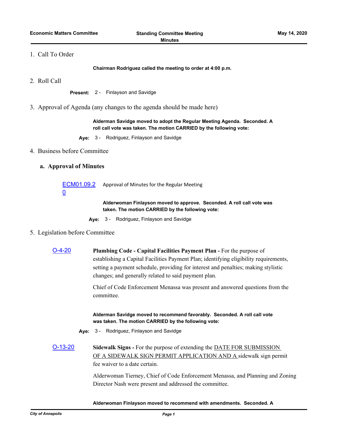### 1. Call To Order

**Chairman Rodriguez called the meeting to order at 4:00 p.m.**

2. Roll Call

**Present:** 2 - Finlayson and Savidge

3. Approval of Agenda (any changes to the agenda should be made here)

**Alderman Savidge moved to adopt the Regular Meeting Agenda. Seconded. A roll call vote was taken. The motion CARRIED by the following vote:**

**Aye:** 3 - Rodriguez, Finlayson and Savidge

#### 4. Business before Committee

#### **a. Approval of Minutes**

[ECM01.09.2](http://annapolismd.legistar.com/gateway.aspx?m=l&id=/matter.aspx?key=4625) 0 Approval of Minutes for the Regular Meeting

> **Alderwoman Finlayson moved to approve. Seconded. A roll call vote was taken. The motion CARRIED by the following vote:**

**Aye:** 3 - Rodriguez, Finlayson and Savidge

#### 5. Legislation before Committee

[O-4-20](http://annapolismd.legistar.com/gateway.aspx?m=l&id=/matter.aspx?key=4693) **Plumbing Code - Capital Facilities Payment Plan -** For the purpose of establishing a Capital Facilities Payment Plan; identifying eligibility requirements, setting a payment schedule, providing for interest and penalties; making stylistic changes; and generally related to said payment plan.

> Chief of Code Enforcement Menassa was present and answered questions from the committee.

**Alderman Savidge moved to recommend favorably. Seconded. A roll call vote was taken. The motion CARRIED by the following vote:**

- **Aye:** 3 Rodriguez, Finlayson and Savidge
- [O-13-20](http://annapolismd.legistar.com/gateway.aspx?m=l&id=/matter.aspx?key=4691) **Sidewalk Signs** For the purpose of extending the DATE FOR SUBMISSION OF A SIDEWALK SIGN PERMIT APPLICATION AND A sidewalk sign permit fee waiver to a date certain.

Alderwoman Tierney, Chief of Code Enforcement Menassa, and Planning and Zoning Director Nash were present and addressed the committee.

#### **Alderwoman Finlayson moved to recommend with amendments. Seconded. A**